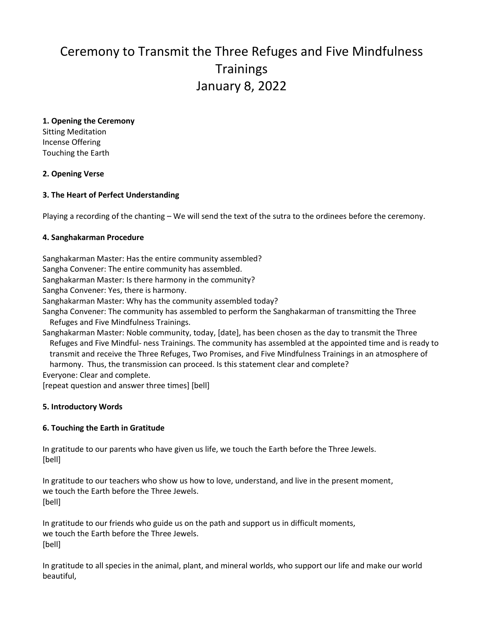# Ceremony to Transmit the Three Refuges and Five Mindfulness **Trainings** January 8, 2022

**1. Opening the Ceremony**  Sitting Meditation Incense Offering Touching the Earth

**2. Opening Verse** 

## **3. The Heart of Perfect Understanding**

Playing a recording of the chanting – We will send the text of the sutra to the ordinees before the ceremony.

### **4. Sanghakarman Procedure**

Sanghakarman Master: Has the entire community assembled? Sangha Convener: The entire community has assembled. Sanghakarman Master: Is there harmony in the community? Sangha Convener: Yes, there is harmony. Sanghakarman Master: Why has the community assembled today? Sangha Convener: The community has assembled to perform the Sanghakarman of transmitting the Three Refuges and Five Mindfulness Trainings. Sanghakarman Master: Noble community, today, [date], has been chosen as the day to transmit the Three Refuges and Five Mindful- ness Trainings. The community has assembled at the appointed time and is ready to transmit and receive the Three Refuges, Two Promises, and Five Mindfulness Trainings in an atmosphere of harmony. Thus, the transmission can proceed. Is this statement clear and complete? Everyone: Clear and complete.

[repeat question and answer three times] [bell]

## **5. Introductory Words**

### **6. Touching the Earth in Gratitude**

In gratitude to our parents who have given us life, we touch the Earth before the Three Jewels. [bell]

In gratitude to our teachers who show us how to love, understand, and live in the present moment, we touch the Earth before the Three Jewels. [bell]

In gratitude to our friends who guide us on the path and support us in difficult moments, we touch the Earth before the Three Jewels. [bell]

In gratitude to all species in the animal, plant, and mineral worlds, who support our life and make our world beautiful,